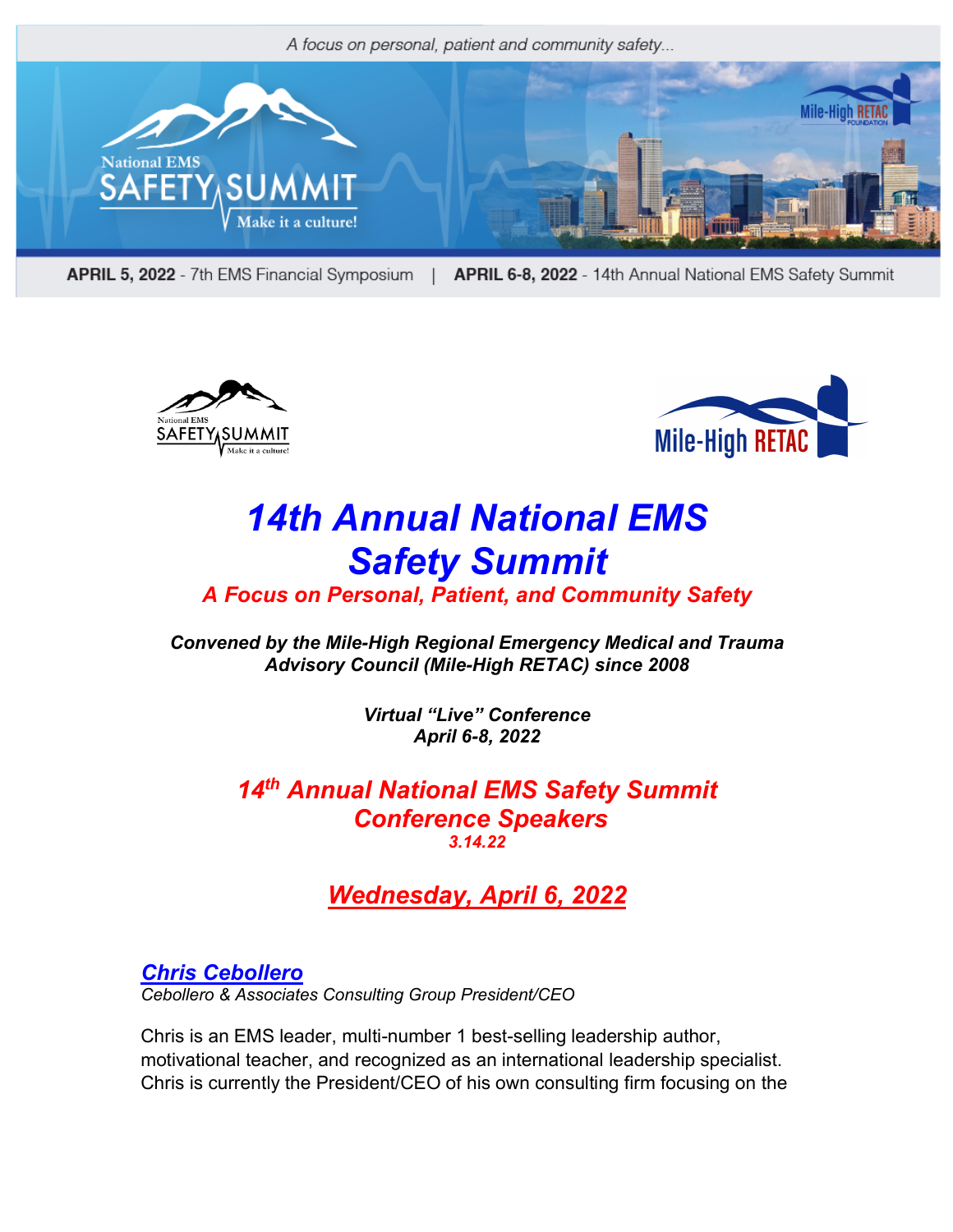

APRIL 5, 2022 - 7th EMS Financial Symposium APRIL 6-8, 2022 - 14th Annual National EMS Safety Summit  $\Box$ 





# *14th Annual National EMS Safety Summit*

## *A Focus on Personal, Patient, and Community Safety*

*Convened by the Mile-High Regional Emergency Medical and Trauma Advisory Council (Mile-High RETAC) since 2008*

> *Virtual "Live" Conference April 6-8, 2022*

*14th Annual National EMS Safety Summit Conference Speakers 3.14.22*

# *Wednesday, April 6, 2022*

*Chris Cebollero Cebollero & Associates Consulting Group President/CEO*

Chris is an EMS leader, multi-number 1 best-selling leadership author, motivational teacher, and recognized as an international leadership specialist. Chris is currently the President/CEO of his own consulting firm focusing on the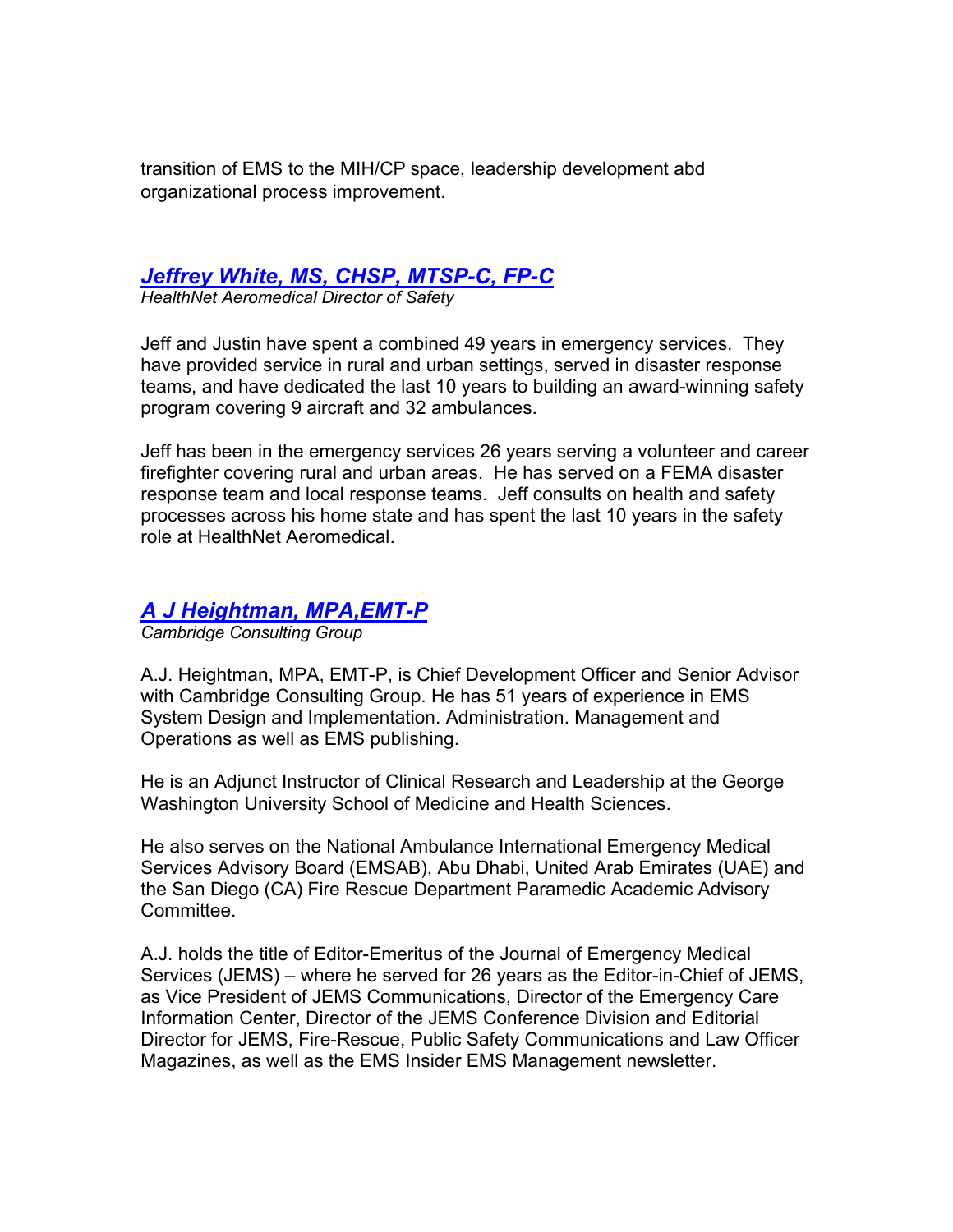transition of EMS to the MIH/CP space, leadership development abd organizational process improvement.

### *Jeffrey White, MS, CHSP, MTSP-C, FP-C*

*HealthNet Aeromedical Director of Safety*

Jeff and Justin have spent a combined 49 years in emergency services. They have provided service in rural and urban settings, served in disaster response teams, and have dedicated the last 10 years to building an award-winning safety program covering 9 aircraft and 32 ambulances.

Jeff has been in the emergency services 26 years serving a volunteer and career firefighter covering rural and urban areas. He has served on a FEMA disaster response team and local response teams. Jeff consults on health and safety processes across his home state and has spent the last 10 years in the safety role at HealthNet Aeromedical.

#### *A J Heightman, MPA,EMT-P*

*Cambridge Consulting Group*

A.J. Heightman, MPA, EMT-P, is Chief Development Officer and Senior Advisor with Cambridge Consulting Group. He has 51 years of experience in EMS System Design and Implementation. Administration. Management and Operations as well as EMS publishing.

He is an Adjunct Instructor of Clinical Research and Leadership at the George Washington University School of Medicine and Health Sciences.

He also serves on the National Ambulance International Emergency Medical Services Advisory Board (EMSAB), Abu Dhabi, United Arab Emirates (UAE) and the San Diego (CA) Fire Rescue Department Paramedic Academic Advisory Committee.

A.J. holds the title of Editor-Emeritus of the Journal of Emergency Medical Services (JEMS) – where he served for 26 years as the Editor-in-Chief of JEMS, as Vice President of JEMS Communications, Director of the Emergency Care Information Center, Director of the JEMS Conference Division and Editorial Director for JEMS, Fire-Rescue, Public Safety Communications and Law Officer Magazines, as well as the EMS Insider EMS Management newsletter.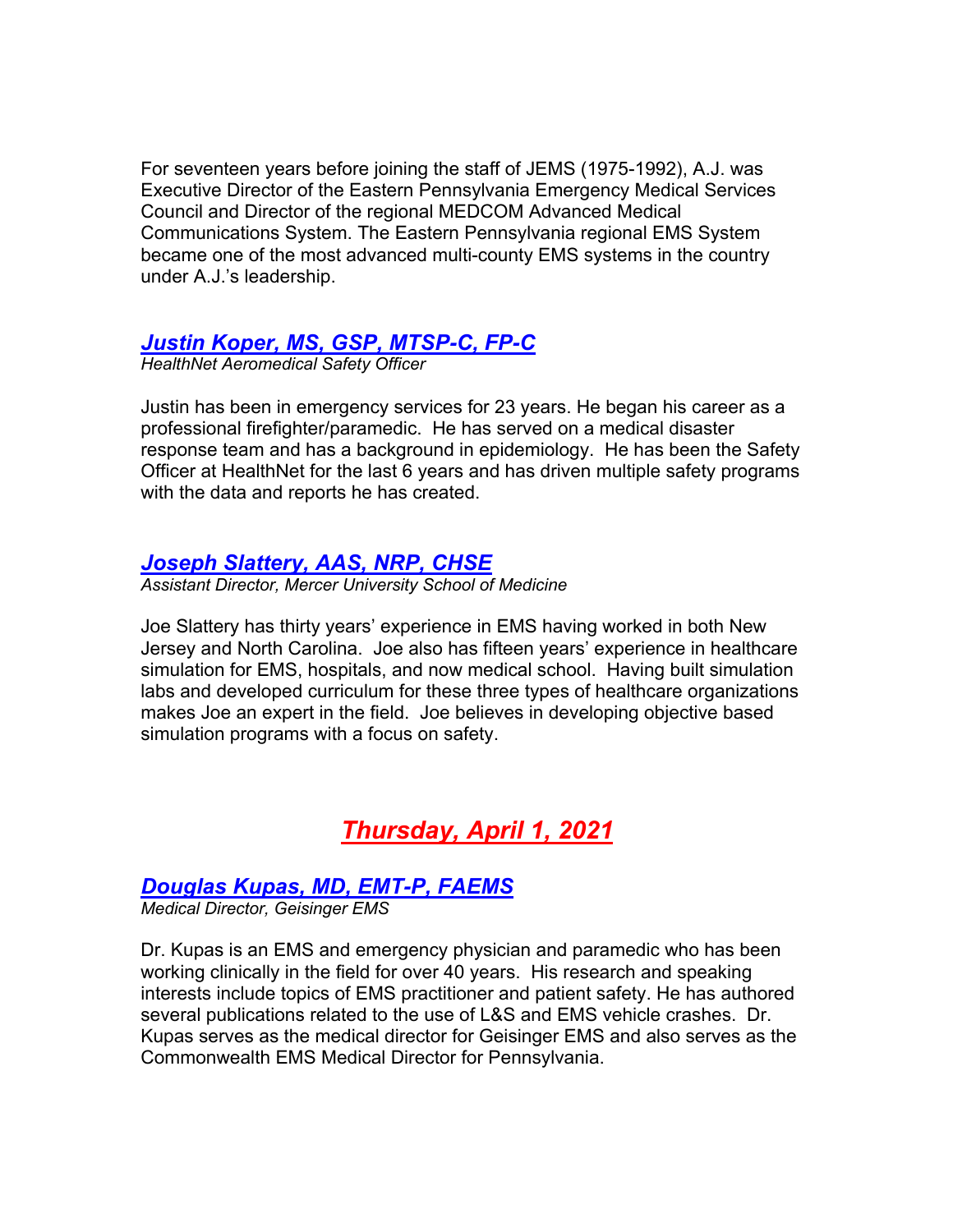For seventeen years before joining the staff of JEMS (1975-1992), A.J. was Executive Director of the Eastern Pennsylvania Emergency Medical Services Council and Director of the regional MEDCOM Advanced Medical Communications System. The Eastern Pennsylvania regional EMS System became one of the most advanced multi-county EMS systems in the country under A.J.'s leadership.

#### *Justin Koper, MS, GSP, MTSP-C, FP-C*

*HealthNet Aeromedical Safety Officer*

Justin has been in emergency services for 23 years. He began his career as a professional firefighter/paramedic. He has served on a medical disaster response team and has a background in epidemiology. He has been the Safety Officer at HealthNet for the last 6 years and has driven multiple safety programs with the data and reports he has created.

#### *Joseph Slattery, AAS, NRP, CHSE*

*Assistant Director, Mercer University School of Medicine*

Joe Slattery has thirty years' experience in EMS having worked in both New Jersey and North Carolina. Joe also has fifteen years' experience in healthcare simulation for EMS, hospitals, and now medical school. Having built simulation labs and developed curriculum for these three types of healthcare organizations makes Joe an expert in the field. Joe believes in developing objective based simulation programs with a focus on safety.

# *Thursday, April 1, 2021*

#### *Douglas Kupas, MD, EMT-P, FAEMS*

*Medical Director, Geisinger EMS*

Dr. Kupas is an EMS and emergency physician and paramedic who has been working clinically in the field for over 40 years. His research and speaking interests include topics of EMS practitioner and patient safety. He has authored several publications related to the use of L&S and EMS vehicle crashes. Dr. Kupas serves as the medical director for Geisinger EMS and also serves as the Commonwealth EMS Medical Director for Pennsylvania.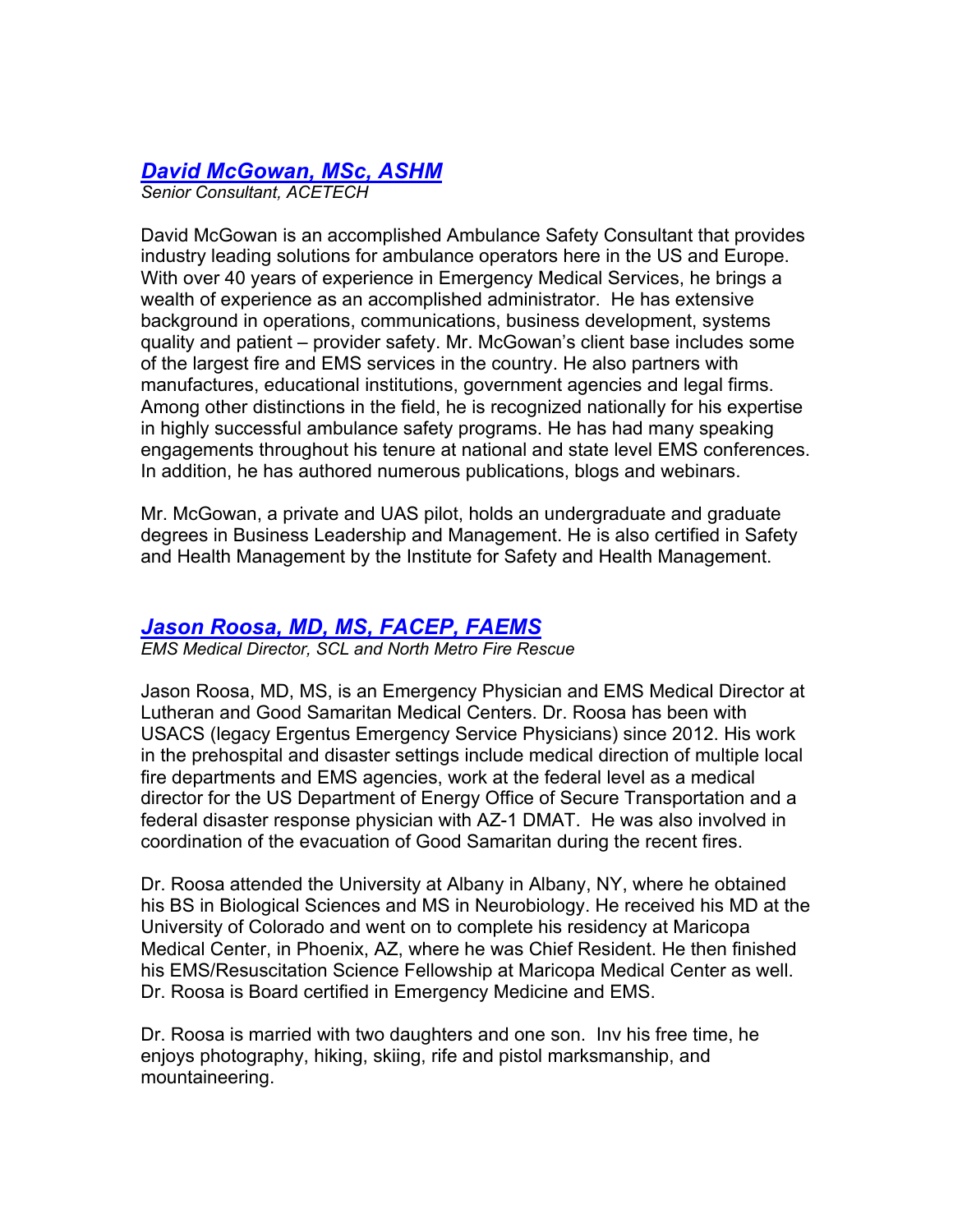## *David McGowan, MSc, ASHM*

*Senior Consultant, ACETECH*

David McGowan is an accomplished Ambulance Safety Consultant that provides industry leading solutions for ambulance operators here in the US and Europe. With over 40 years of experience in Emergency Medical Services, he brings a wealth of experience as an accomplished administrator. He has extensive background in operations, communications, business development, systems quality and patient – provider safety. Mr. McGowan's client base includes some of the largest fire and EMS services in the country. He also partners with manufactures, educational institutions, government agencies and legal firms. Among other distinctions in the field, he is recognized nationally for his expertise in highly successful ambulance safety programs. He has had many speaking engagements throughout his tenure at national and state level EMS conferences. In addition, he has authored numerous publications, blogs and webinars.

Mr. McGowan, a private and UAS pilot, holds an undergraduate and graduate degrees in Business Leadership and Management. He is also certified in Safety and Health Management by the Institute for Safety and Health Management.

#### *Jason Roosa, MD, MS, FACEP, FAEMS*

*EMS Medical Director, SCL and North Metro Fire Rescue*

Jason Roosa, MD, MS, is an Emergency Physician and EMS Medical Director at Lutheran and Good Samaritan Medical Centers. Dr. Roosa has been with USACS (legacy Ergentus Emergency Service Physicians) since 2012. His work in the prehospital and disaster settings include medical direction of multiple local fire departments and EMS agencies, work at the federal level as a medical director for the US Department of Energy Office of Secure Transportation and a federal disaster response physician with AZ-1 DMAT. He was also involved in coordination of the evacuation of Good Samaritan during the recent fires.

Dr. Roosa attended the University at Albany in Albany, NY, where he obtained his BS in Biological Sciences and MS in Neurobiology. He received his MD at the University of Colorado and went on to complete his residency at Maricopa Medical Center, in Phoenix, AZ, where he was Chief Resident. He then finished his EMS/Resuscitation Science Fellowship at Maricopa Medical Center as well. Dr. Roosa is Board certified in Emergency Medicine and EMS.

Dr. Roosa is married with two daughters and one son. Inv his free time, he enjoys photography, hiking, skiing, rife and pistol marksmanship, and mountaineering.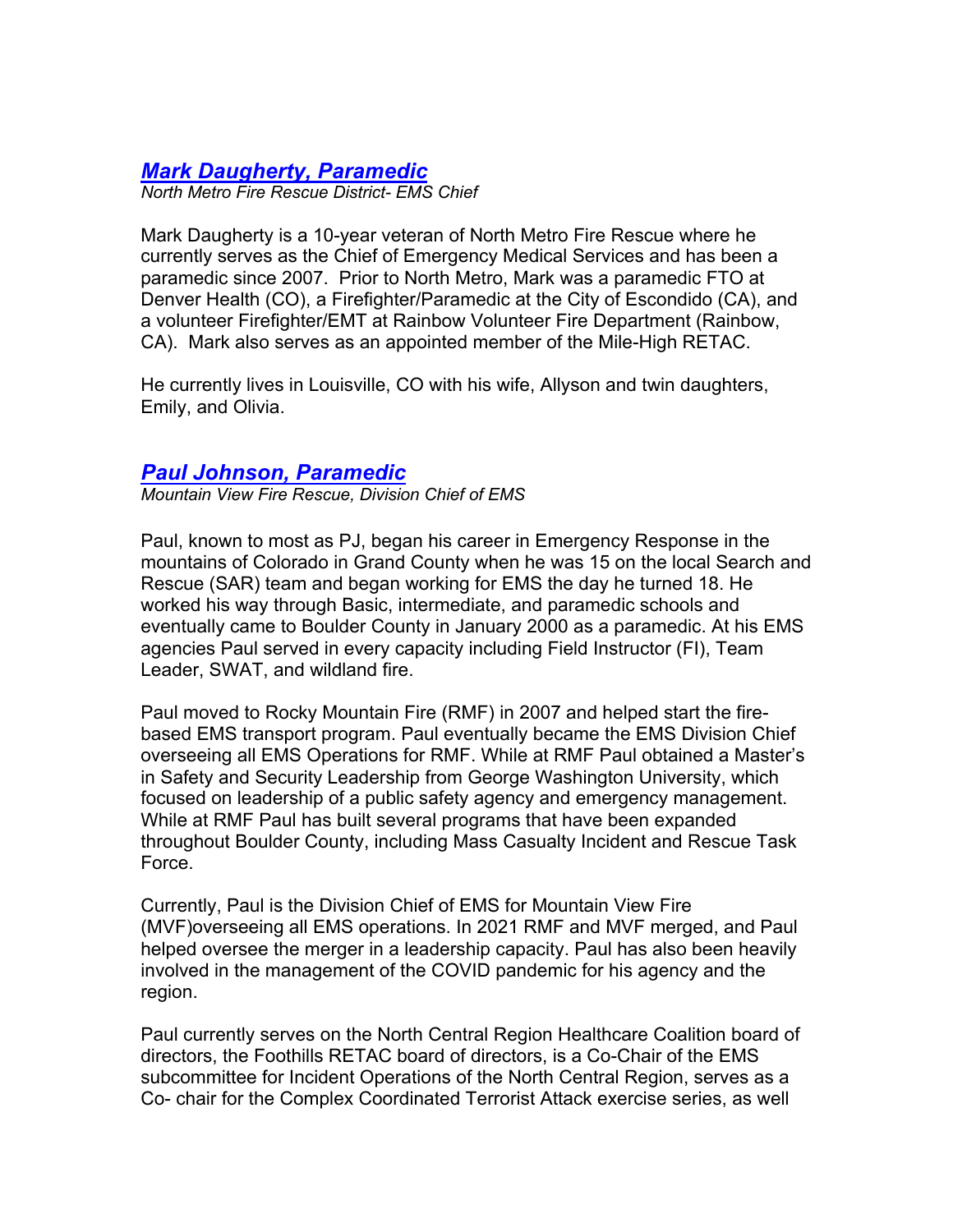#### *Mark Daugherty, Paramedic*

*North Metro Fire Rescue District- EMS Chief*

Mark Daugherty is a 10-year veteran of North Metro Fire Rescue where he currently serves as the Chief of Emergency Medical Services and has been a paramedic since 2007. Prior to North Metro, Mark was a paramedic FTO at Denver Health (CO), a Firefighter/Paramedic at the City of Escondido (CA), and a volunteer Firefighter/EMT at Rainbow Volunteer Fire Department (Rainbow, CA). Mark also serves as an appointed member of the Mile-High RETAC.

He currently lives in Louisville, CO with his wife, Allyson and twin daughters, Emily, and Olivia.

#### *Paul Johnson, Paramedic*

*Mountain View Fire Rescue, Division Chief of EMS*

Paul, known to most as PJ, began his career in Emergency Response in the mountains of Colorado in Grand County when he was 15 on the local Search and Rescue (SAR) team and began working for EMS the day he turned 18. He worked his way through Basic, intermediate, and paramedic schools and eventually came to Boulder County in January 2000 as a paramedic. At his EMS agencies Paul served in every capacity including Field Instructor (FI), Team Leader, SWAT, and wildland fire.

Paul moved to Rocky Mountain Fire (RMF) in 2007 and helped start the firebased EMS transport program. Paul eventually became the EMS Division Chief overseeing all EMS Operations for RMF. While at RMF Paul obtained a Master's in Safety and Security Leadership from George Washington University, which focused on leadership of a public safety agency and emergency management. While at RMF Paul has built several programs that have been expanded throughout Boulder County, including Mass Casualty Incident and Rescue Task Force.

Currently, Paul is the Division Chief of EMS for Mountain View Fire (MVF)overseeing all EMS operations. In 2021 RMF and MVF merged, and Paul helped oversee the merger in a leadership capacity. Paul has also been heavily involved in the management of the COVID pandemic for his agency and the region.

Paul currently serves on the North Central Region Healthcare Coalition board of directors, the Foothills RETAC board of directors, is a Co-Chair of the EMS subcommittee for Incident Operations of the North Central Region, serves as a Co- chair for the Complex Coordinated Terrorist Attack exercise series, as well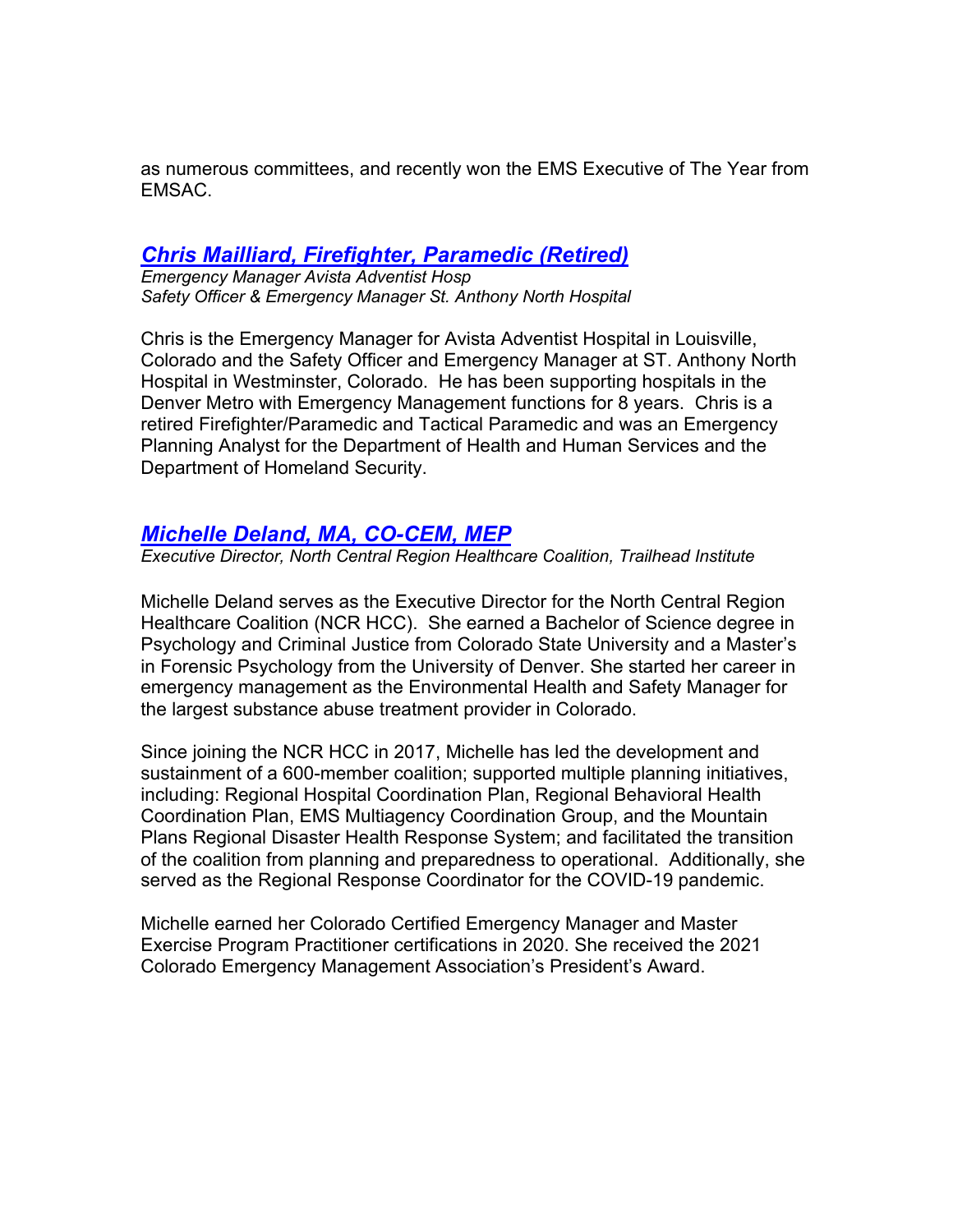as numerous committees, and recently won the EMS Executive of The Year from EMSAC.

#### *Chris Mailliard, Firefighter, Paramedic (Retired)*

*Emergency Manager Avista Adventist Hosp Safety Officer & Emergency Manager St. Anthony North Hospital*

Chris is the Emergency Manager for Avista Adventist Hospital in Louisville, Colorado and the Safety Officer and Emergency Manager at ST. Anthony North Hospital in Westminster, Colorado. He has been supporting hospitals in the Denver Metro with Emergency Management functions for 8 years. Chris is a retired Firefighter/Paramedic and Tactical Paramedic and was an Emergency Planning Analyst for the Department of Health and Human Services and the Department of Homeland Security.

#### *Michelle Deland, MA, CO-CEM, MEP*

*Executive Director, North Central Region Healthcare Coalition, Trailhead Institute*

Michelle Deland serves as the Executive Director for the North Central Region Healthcare Coalition (NCR HCC). She earned a Bachelor of Science degree in Psychology and Criminal Justice from Colorado State University and a Master's in Forensic Psychology from the University of Denver. She started her career in emergency management as the Environmental Health and Safety Manager for the largest substance abuse treatment provider in Colorado.

Since joining the NCR HCC in 2017, Michelle has led the development and sustainment of a 600-member coalition; supported multiple planning initiatives, including: Regional Hospital Coordination Plan, Regional Behavioral Health Coordination Plan, EMS Multiagency Coordination Group, and the Mountain Plans Regional Disaster Health Response System; and facilitated the transition of the coalition from planning and preparedness to operational. Additionally, she served as the Regional Response Coordinator for the COVID-19 pandemic.

Michelle earned her Colorado Certified Emergency Manager and Master Exercise Program Practitioner certifications in 2020. She received the 2021 Colorado Emergency Management Association's President's Award.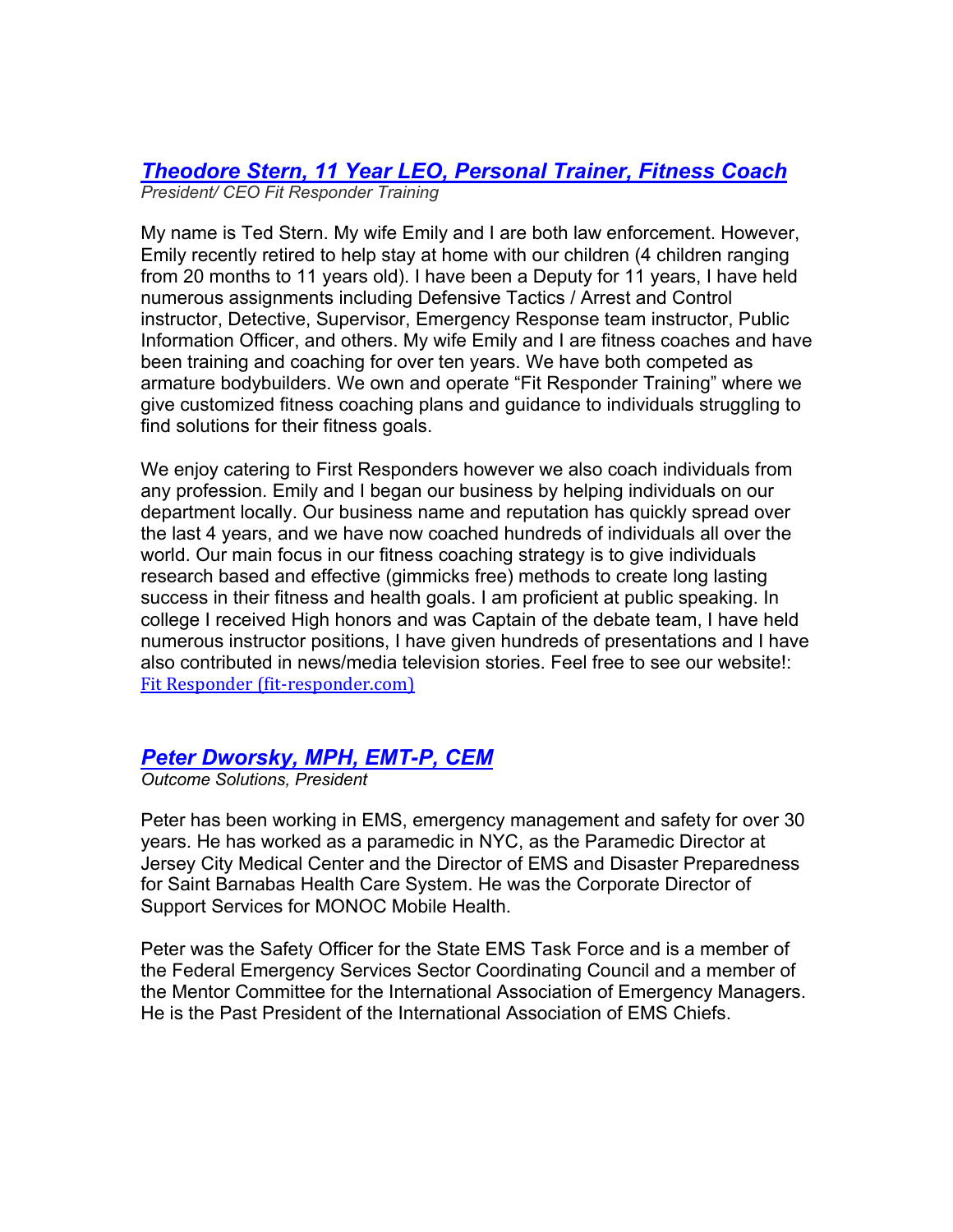#### *Theodore Stern, 11 Year LEO, Personal Trainer, Fitness Coach President/ CEO Fit Responder Training*

My name is Ted Stern. My wife Emily and I are both law enforcement. However, Emily recently retired to help stay at home with our children (4 children ranging from 20 months to 11 years old). I have been a Deputy for 11 years, I have held numerous assignments including Defensive Tactics / Arrest and Control instructor, Detective, Supervisor, Emergency Response team instructor, Public Information Officer, and others. My wife Emily and I are fitness coaches and have been training and coaching for over ten years. We have both competed as armature bodybuilders. We own and operate "Fit Responder Training" where we give customized fitness coaching plans and guidance to individuals struggling to find solutions for their fitness goals.

We enjoy catering to First Responders however we also coach individuals from any profession. Emily and I began our business by helping individuals on our department locally. Our business name and reputation has quickly spread over the last 4 years, and we have now coached hundreds of individuals all over the world. Our main focus in our fitness coaching strategy is to give individuals research based and effective (gimmicks free) methods to create long lasting success in their fitness and health goals. I am proficient at public speaking. In college I received High honors and was Captain of the debate team, I have held numerous instructor positions, I have given hundreds of presentations and I have also contributed in news/media television stories. Feel free to see our website!: Fit Responder (fit-responder.com)

#### *Peter Dworsky, MPH, EMT-P, CEM*

*Outcome Solutions, President*

Peter has been working in EMS, emergency management and safety for over 30 years. He has worked as a paramedic in NYC, as the Paramedic Director at Jersey City Medical Center and the Director of EMS and Disaster Preparedness for Saint Barnabas Health Care System. He was the Corporate Director of Support Services for MONOC Mobile Health.

Peter was the Safety Officer for the State EMS Task Force and is a member of the Federal Emergency Services Sector Coordinating Council and a member of the Mentor Committee for the International Association of Emergency Managers. He is the Past President of the International Association of EMS Chiefs.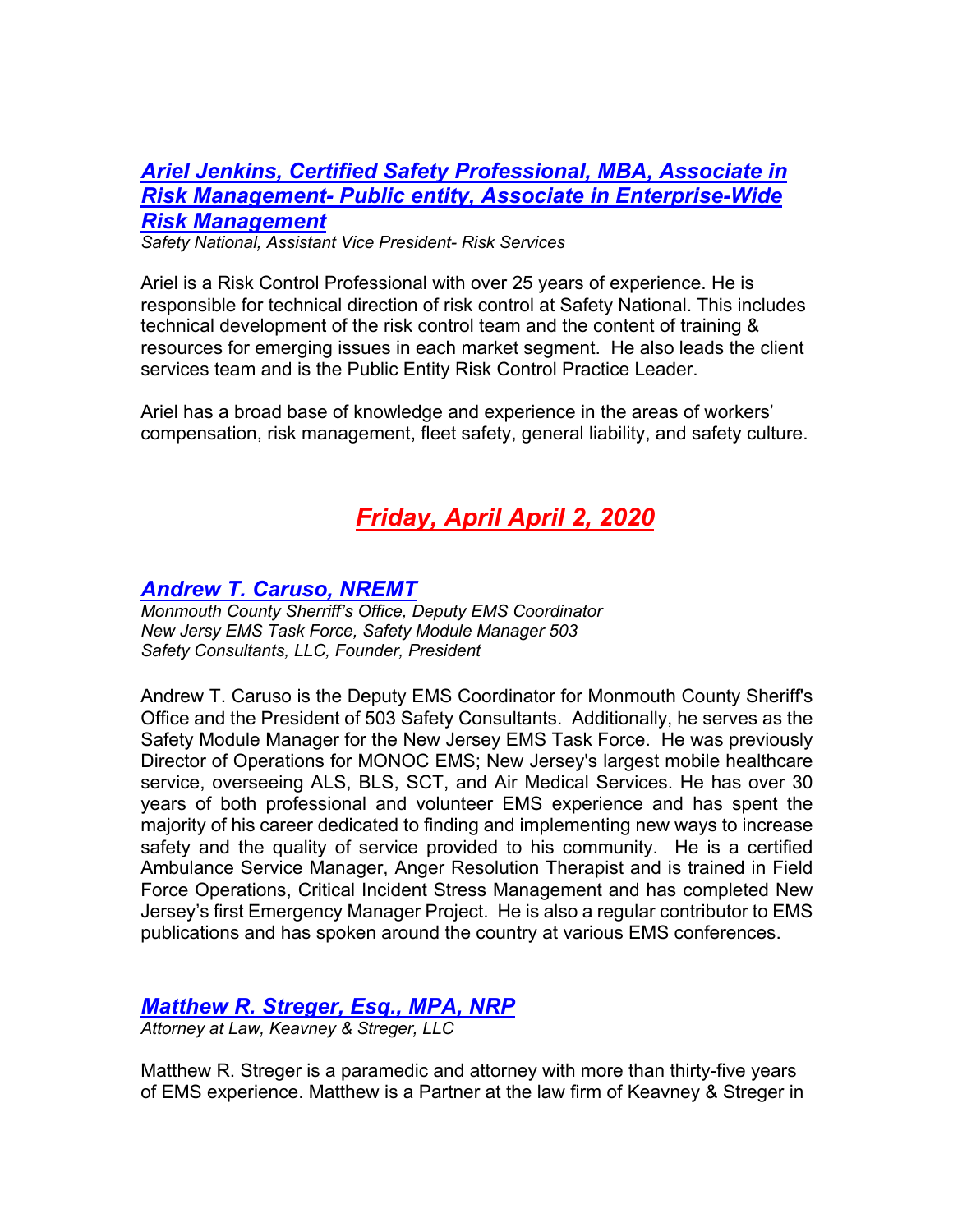## *Ariel Jenkins, Certified Safety Professional, MBA, Associate in Risk Management- Public entity, Associate in Enterprise-Wide Risk Management*

*Safety National, Assistant Vice President- Risk Services*

Ariel is a Risk Control Professional with over 25 years of experience. He is responsible for technical direction of risk control at Safety National. This includes technical development of the risk control team and the content of training & resources for emerging issues in each market segment. He also leads the client services team and is the Public Entity Risk Control Practice Leader.

Ariel has a broad base of knowledge and experience in the areas of workers' compensation, risk management, fleet safety, general liability, and safety culture.

# *Friday, April April 2, 2020*

#### *Andrew T. Caruso, NREMT*

*Monmouth County Sherriff's Office, Deputy EMS Coordinator New Jersy EMS Task Force, Safety Module Manager 503 Safety Consultants, LLC, Founder, President*

Andrew T. Caruso is the Deputy EMS Coordinator for Monmouth County Sheriff's Office and the President of 503 Safety Consultants. Additionally, he serves as the Safety Module Manager for the New Jersey EMS Task Force. He was previously Director of Operations for MONOC EMS; New Jersey's largest mobile healthcare service, overseeing ALS, BLS, SCT, and Air Medical Services. He has over 30 years of both professional and volunteer EMS experience and has spent the majority of his career dedicated to finding and implementing new ways to increase safety and the quality of service provided to his community. He is a certified Ambulance Service Manager, Anger Resolution Therapist and is trained in Field Force Operations, Critical Incident Stress Management and has completed New Jersey's first Emergency Manager Project. He is also a regular contributor to EMS publications and has spoken around the country at various EMS conferences.

#### *Matthew R. Streger, Esq., MPA, NRP*

*Attorney at Law, Keavney & Streger, LLC*

Matthew R. Streger is a paramedic and attorney with more than thirty-five years of EMS experience. Matthew is a Partner at the law firm of Keavney & Streger in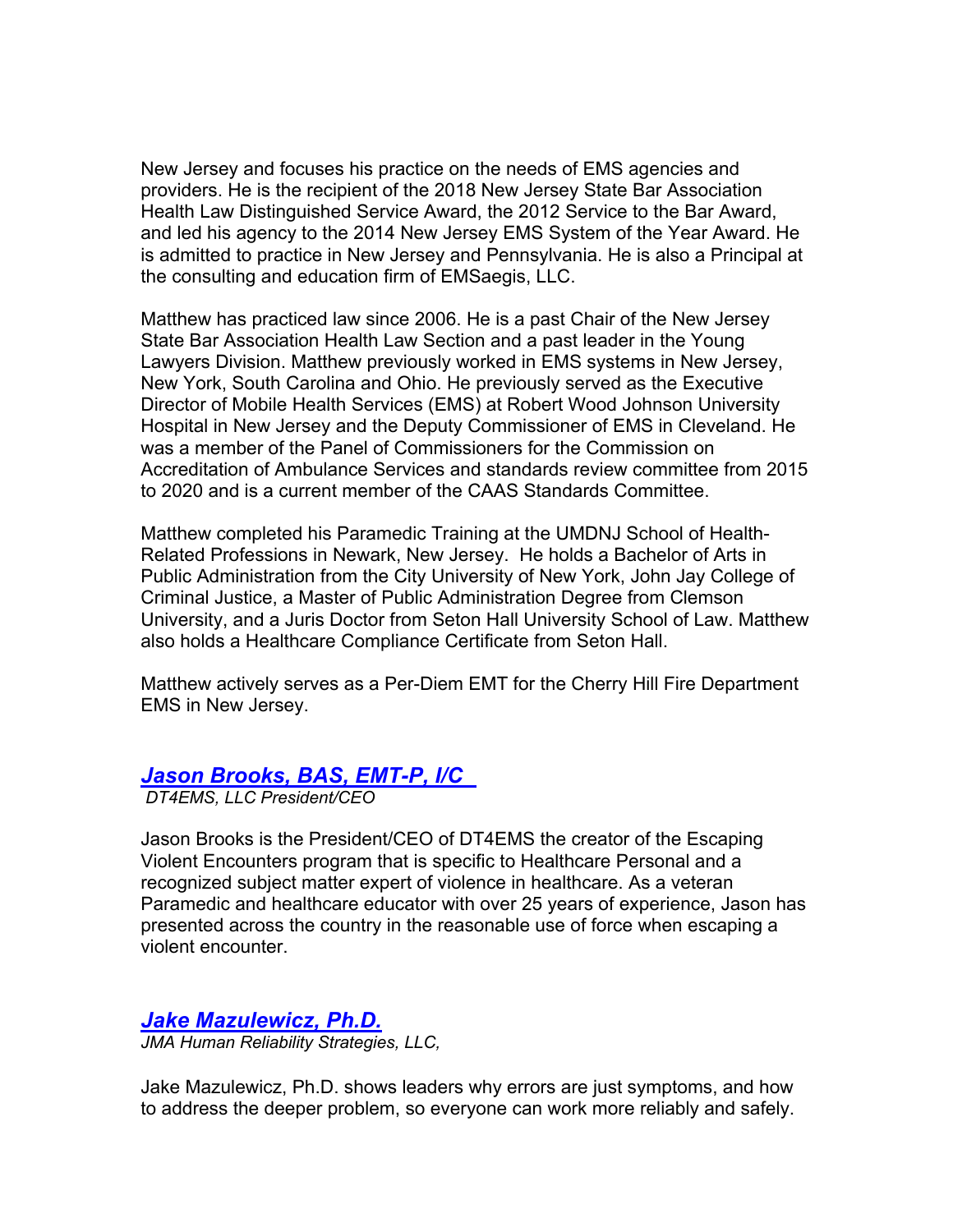New Jersey and focuses his practice on the needs of EMS agencies and providers. He is the recipient of the 2018 New Jersey State Bar Association Health Law Distinguished Service Award, the 2012 Service to the Bar Award, and led his agency to the 2014 New Jersey EMS System of the Year Award. He is admitted to practice in New Jersey and Pennsylvania. He is also a Principal at the consulting and education firm of EMSaegis, LLC.

Matthew has practiced law since 2006. He is a past Chair of the New Jersey State Bar Association Health Law Section and a past leader in the Young Lawyers Division. Matthew previously worked in EMS systems in New Jersey, New York, South Carolina and Ohio. He previously served as the Executive Director of Mobile Health Services (EMS) at Robert Wood Johnson University Hospital in New Jersey and the Deputy Commissioner of EMS in Cleveland. He was a member of the Panel of Commissioners for the Commission on Accreditation of Ambulance Services and standards review committee from 2015 to 2020 and is a current member of the CAAS Standards Committee.

Matthew completed his Paramedic Training at the UMDNJ School of Health-Related Professions in Newark, New Jersey. He holds a Bachelor of Arts in Public Administration from the City University of New York, John Jay College of Criminal Justice, a Master of Public Administration Degree from Clemson University, and a Juris Doctor from Seton Hall University School of Law. Matthew also holds a Healthcare Compliance Certificate from Seton Hall.

Matthew actively serves as a Per-Diem EMT for the Cherry Hill Fire Department EMS in New Jersey.

#### *Jason Brooks, BAS, EMT-P, I/C*

*DT4EMS, LLC President/CEO*

Jason Brooks is the President/CEO of DT4EMS the creator of the Escaping Violent Encounters program that is specific to Healthcare Personal and a recognized subject matter expert of violence in healthcare. As a veteran Paramedic and healthcare educator with over 25 years of experience, Jason has presented across the country in the reasonable use of force when escaping a violent encounter.

*Jake Mazulewicz, Ph.D.*

*JMA Human Reliability Strategies, LLC,* 

Jake Mazulewicz, Ph.D. shows leaders why errors are just symptoms, and how to address the deeper problem, so everyone can work more reliably and safely.